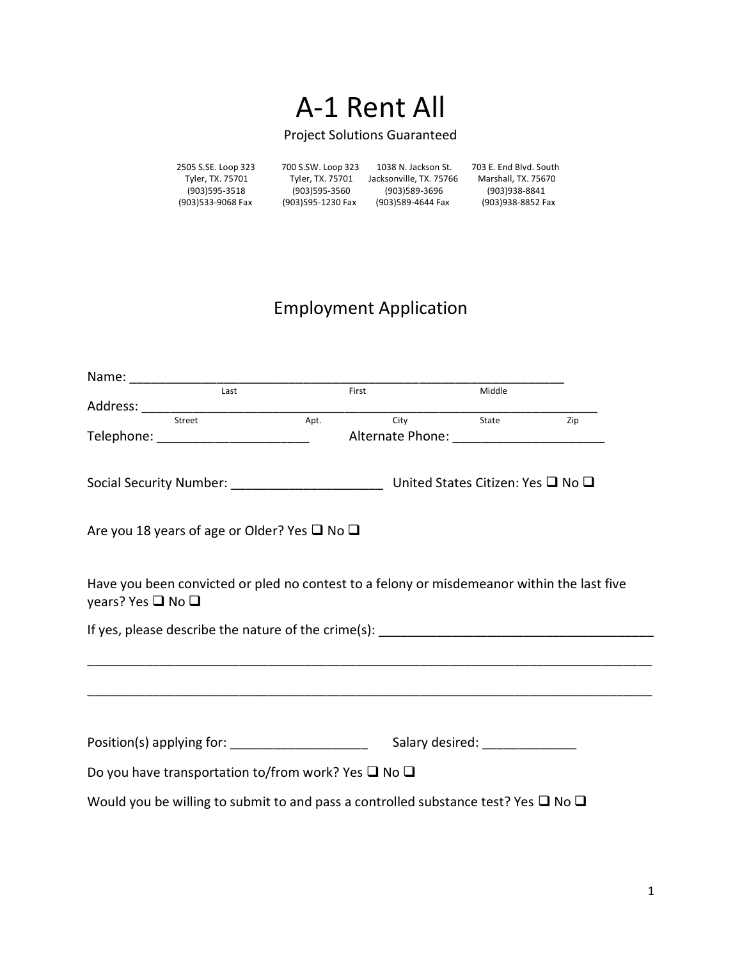## A-1 Rent All

#### Project Solutions Guaranteed

| 2505 S.SE. Loop 323 | 700 S.SW. Loop 323 | 1038 N. Jackson St.     | 703 E. End Blyd. South |
|---------------------|--------------------|-------------------------|------------------------|
| Tyler, TX. 75701    | Tyler, TX, 75701   | Jacksonville, TX, 75766 | Marshall, TX, 75670    |
| (903)595-3518       | (903)595-3560      | (903)589-3696           | (903)938-8841          |
| (903)533-9068 Fax   | (903)595-1230 Fax  | (903)589-4644 Fax       | (903)938-8852 Fax      |

## Employment Application

|                                                                                                    | Last |      | First                                         | Middle                          |  |
|----------------------------------------------------------------------------------------------------|------|------|-----------------------------------------------|---------------------------------|--|
|                                                                                                    |      |      |                                               |                                 |  |
| Street                                                                                             |      | Apt. |                                               | City State Zip                  |  |
| Telephone: __________________________                                                              |      |      | Alternate Phone: ____________________________ |                                 |  |
|                                                                                                    |      |      |                                               |                                 |  |
|                                                                                                    |      |      |                                               |                                 |  |
|                                                                                                    |      |      |                                               |                                 |  |
|                                                                                                    |      |      |                                               |                                 |  |
| Are you 18 years of age or Older? Yes $\square$ No $\square$                                       |      |      |                                               |                                 |  |
|                                                                                                    |      |      |                                               |                                 |  |
| Have you been convicted or pled no contest to a felony or misdemeanor within the last five         |      |      |                                               |                                 |  |
| years? Yes $\square$ No $\square$                                                                  |      |      |                                               |                                 |  |
|                                                                                                    |      |      |                                               |                                 |  |
|                                                                                                    |      |      |                                               |                                 |  |
|                                                                                                    |      |      |                                               |                                 |  |
|                                                                                                    |      |      |                                               |                                 |  |
|                                                                                                    |      |      |                                               |                                 |  |
|                                                                                                    |      |      |                                               |                                 |  |
|                                                                                                    |      |      |                                               |                                 |  |
|                                                                                                    |      |      |                                               | Salary desired: Salary desired: |  |
| Do you have transportation to/from work? Yes $\square$ No $\square$                                |      |      |                                               |                                 |  |
|                                                                                                    |      |      |                                               |                                 |  |
| Would you be willing to submit to and pass a controlled substance test? Yes $\square$ No $\square$ |      |      |                                               |                                 |  |
|                                                                                                    |      |      |                                               |                                 |  |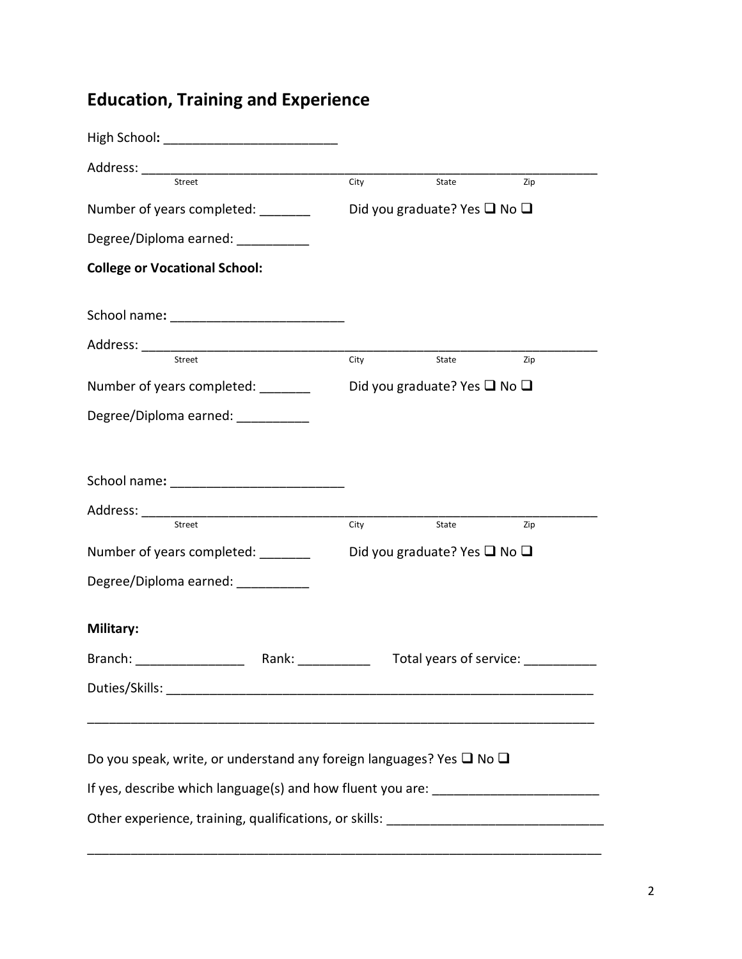## **Education, Training and Experience**

| Street                                                                                                                | City | State                                        | Zip |  |  |
|-----------------------------------------------------------------------------------------------------------------------|------|----------------------------------------------|-----|--|--|
| Number of years completed: _______                                                                                    |      | Did you graduate? Yes $\square$ No $\square$ |     |  |  |
| Degree/Diploma earned: __________                                                                                     |      |                                              |     |  |  |
| <b>College or Vocational School:</b>                                                                                  |      |                                              |     |  |  |
|                                                                                                                       |      |                                              |     |  |  |
| Street                                                                                                                | City |                                              |     |  |  |
|                                                                                                                       |      | State                                        | Zip |  |  |
| Number of years completed: _______                                                                                    |      | Did you graduate? Yes $\Box$ No $\Box$       |     |  |  |
| Degree/Diploma earned: __________                                                                                     |      |                                              |     |  |  |
|                                                                                                                       |      |                                              |     |  |  |
|                                                                                                                       |      |                                              |     |  |  |
|                                                                                                                       |      |                                              |     |  |  |
| Street                                                                                                                | City | State                                        | Zip |  |  |
|                                                                                                                       |      |                                              |     |  |  |
| Number of years completed: _______                                                                                    |      | Did you graduate? Yes $\Box$ No $\Box$       |     |  |  |
| Degree/Diploma earned: __________                                                                                     |      |                                              |     |  |  |
| Military:                                                                                                             |      |                                              |     |  |  |
|                                                                                                                       |      |                                              |     |  |  |
| Branch: Rank: Rank:                                                                                                   |      | Total years of service:                      |     |  |  |
|                                                                                                                       |      |                                              |     |  |  |
| <u> 1989 - Johann Stoff, deutscher Stoff, der Stoff, der Stoff, der Stoff, der Stoff, der Stoff, der Stoff, der S</u> |      |                                              |     |  |  |
|                                                                                                                       |      |                                              |     |  |  |
| Do you speak, write, or understand any foreign languages? Yes $\square$ No $\square$                                  |      |                                              |     |  |  |
| If yes, describe which language(s) and how fluent you are: ______________________                                     |      |                                              |     |  |  |
|                                                                                                                       |      |                                              |     |  |  |
|                                                                                                                       |      |                                              |     |  |  |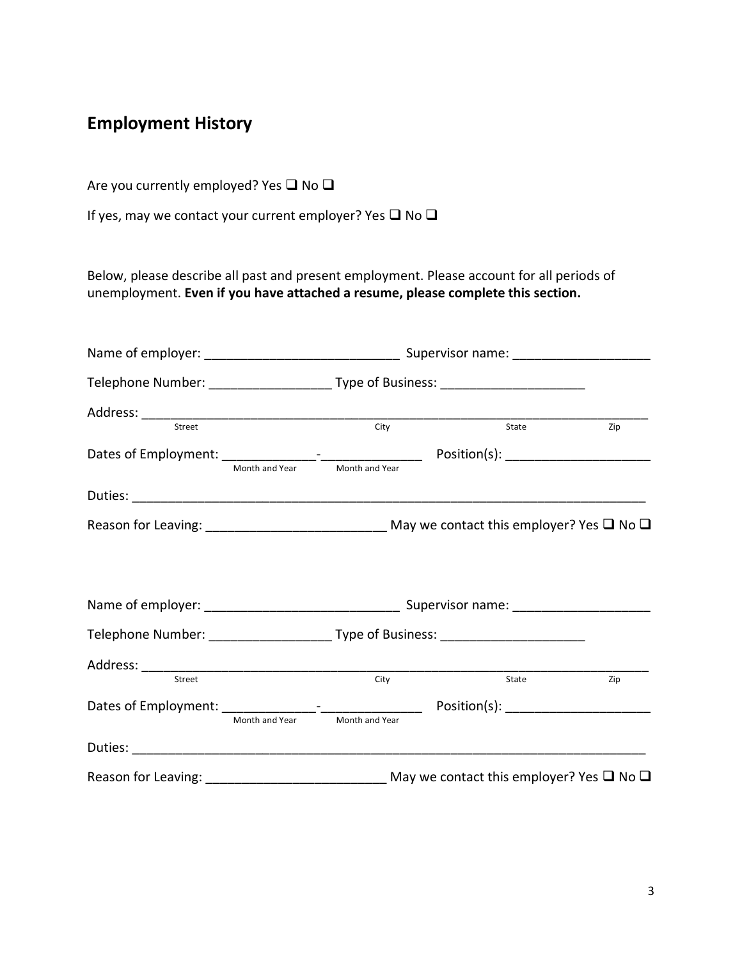### **Employment History**

Are you currently employed? Yes  $\square$  No  $\square$ 

If yes, may we contact your current employer? Yes  $\Box$  No  $\Box$ 

Below, please describe all past and present employment. Please account for all periods of unemployment. **Even if you have attached a resume, please complete this section.**

| Street                                                                                         | City                          | State | Zip |  |
|------------------------------------------------------------------------------------------------|-------------------------------|-------|-----|--|
|                                                                                                |                               |       |     |  |
|                                                                                                | Month and Year Month and Year |       |     |  |
|                                                                                                |                               |       |     |  |
|                                                                                                |                               |       |     |  |
|                                                                                                |                               |       |     |  |
|                                                                                                |                               |       |     |  |
|                                                                                                |                               |       |     |  |
|                                                                                                |                               |       |     |  |
|                                                                                                |                               |       |     |  |
| Street                                                                                         | City                          | State | Zip |  |
|                                                                                                |                               |       |     |  |
|                                                                                                | Month and Year Month and Year |       |     |  |
|                                                                                                |                               |       |     |  |
| Reason for Leaving: _________________________________ May we contact this employer? Yes □ No □ |                               |       |     |  |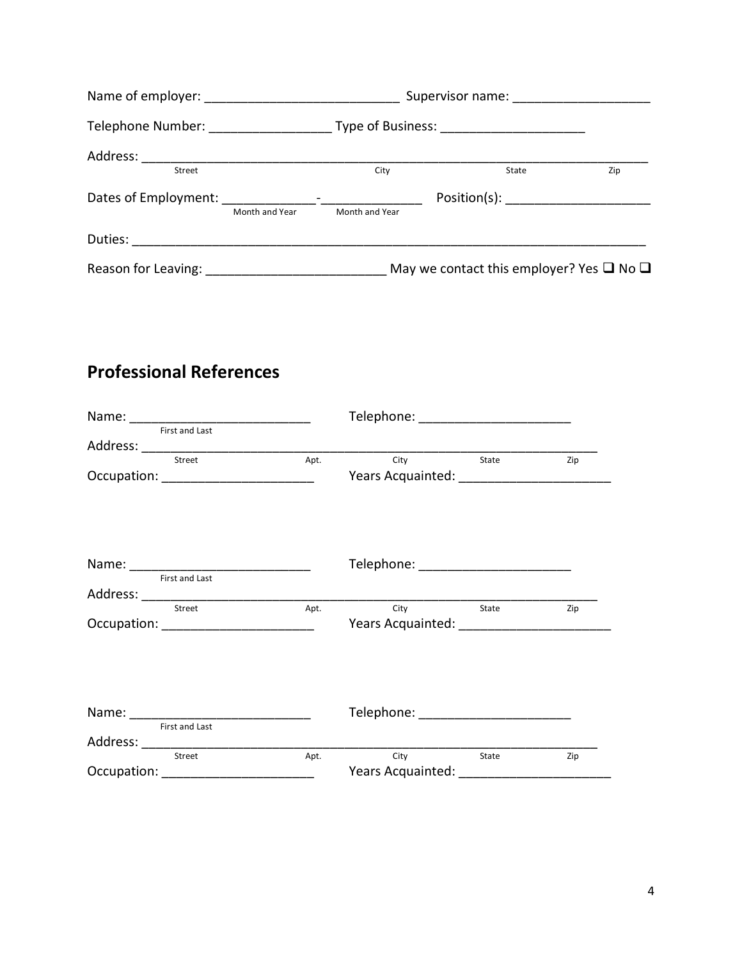| Street                               |                | City           | State                                                    | Zip |  |
|--------------------------------------|----------------|----------------|----------------------------------------------------------|-----|--|
| Dates of Employment: _______________ |                |                |                                                          |     |  |
|                                      | Month and Year | Month and Year |                                                          |     |  |
|                                      |                |                |                                                          |     |  |
| Reason for Leaving: ______________   |                |                | May we contact this employer? Yes $\square$ No $\square$ |     |  |

### **Professional References**

| <b>First and Last</b>                  |      | Telephone: ___________________________                                                                         |       |     |
|----------------------------------------|------|----------------------------------------------------------------------------------------------------------------|-------|-----|
| Street                                 | Apt. | City State                                                                                                     |       | Zip |
| Occupation: __________________________ |      |                                                                                                                |       |     |
| <b>First and Last</b>                  |      | Telephone: ___________________________                                                                         |       |     |
| Street                                 |      | <b>City City</b>                                                                                               | State | Zip |
| Occupation: __________________________ | Apt. |                                                                                                                |       |     |
| <b>First and Last</b>                  |      | Telephone: __________________________                                                                          |       |     |
| Street                                 | Apt. | <b>City</b>                                                                                                    | State | Zip |
| Occupation: _______________________    |      | Years Acquainted: National Press, National Press, National Press, National Press, National Press, National Pre |       |     |